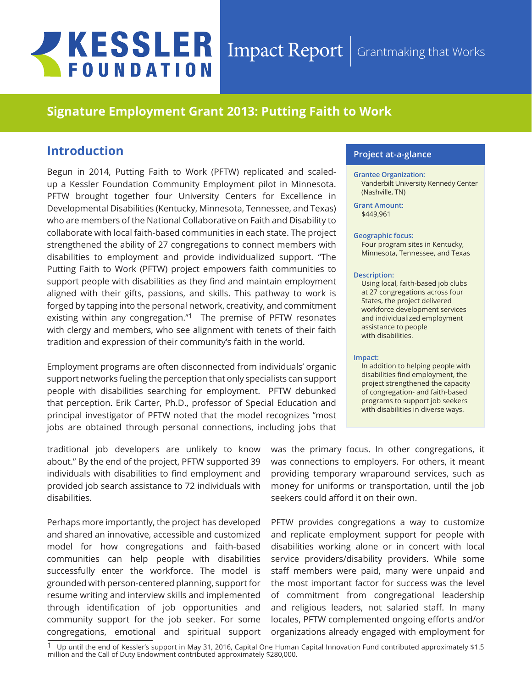# **JKESSLER FOUNDATION**

## $\emph{Import} \mid$  Grantmaking that Works

## **Signature Employment Grant 2013: Putting Faith to Work**

## **Introduction**

Begun in 2014, Putting Faith to Work (PFTW) replicated and scaledup a Kessler Foundation Community Employment pilot in Minnesota. PFTW brought together four University Centers for Excellence in Developmental Disabilities (Kentucky, Minnesota, Tennessee, and Texas) who are members of the National Collaborative on Faith and Disability to collaborate with local faith-based communities in each state. The project strengthened the ability of 27 congregations to connect members with disabilities to employment and provide individualized support. "The Putting Faith to Work (PFTW) project empowers faith communities to support people with disabilities as they find and maintain employment aligned with their gifts, passions, and skills. This pathway to work is forged by tapping into the personal network, creativity, and commitment existing within any congregation." $1$  The premise of PFTW resonates with clergy and members, who see alignment with tenets of their faith tradition and expression of their community's faith in the world.

Employment programs are often disconnected from individuals' organic support networks fueling the perception that only specialists can support people with disabilities searching for employment. PFTW debunked that perception. Erik Carter, Ph.D., professor of Special Education and principal investigator of PFTW noted that the model recognizes "most jobs are obtained through personal connections, including jobs that

traditional job developers are unlikely to know about." By the end of the project, PFTW supported 39 individuals with disabilities to find employment and provided job search assistance to 72 individuals with disabilities.

Perhaps more importantly, the project has developed and shared an innovative, accessible and customized model for how congregations and faith-based communities can help people with disabilities successfully enter the workforce. The model is grounded with person-centered planning, support for resume writing and interview skills and implemented through identification of job opportunities and community support for the job seeker. For some congregations, emotional and spiritual support

#### **Project at-a-glance**

#### **Grantee Organization:** Vanderbilt University Kennedy Center (Nashville, TN)

**Grant Amount:**  \$449,961

#### **Geographic focus:**

Four program sites in Kentucky, Minnesota, Tennessee, and Texas

#### **Description:**

Using local, faith-based job clubs at 27 congregations across four States, the project delivered workforce development services and individualized employment assistance to people with disabilities.

#### **Impact:**

In addition to helping people with disabilities find employment, the project strengthened the capacity of congregation- and faith-based programs to support job seekers with disabilities in diverse ways.

was the primary focus. In other congregations, it was connections to employers. For others, it meant providing temporary wraparound services, such as money for uniforms or transportation, until the job seekers could afford it on their own.

PFTW provides congregations a way to customize and replicate employment support for people with disabilities working alone or in concert with local service providers/disability providers. While some staff members were paid, many were unpaid and the most important factor for success was the level of commitment from congregational leadership and religious leaders, not salaried staff. In many locales, PFTW complemented ongoing efforts and/or organizations already engaged with employment for

 $1$  Up until the end of Kessler's support in May 31, 2016, Capital One Human Capital Innovation Fund contributed approximately \$1.5 million and the Call of Duty Endowment contributed approximately \$280,000.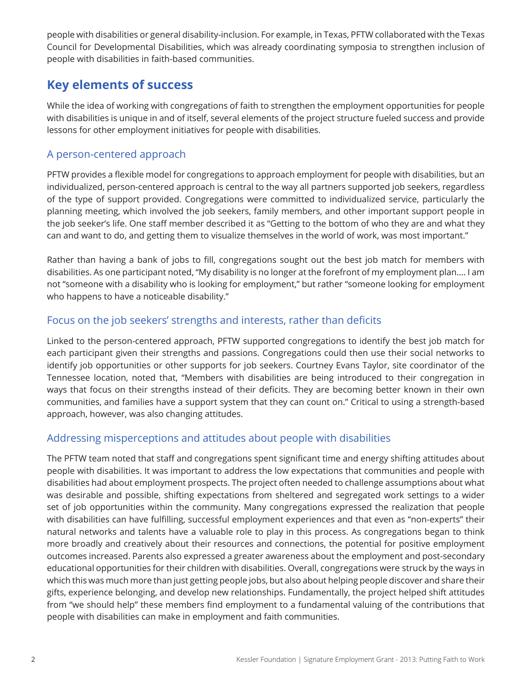people with disabilities or general disability-inclusion. For example, in Texas, PFTW collaborated with the Texas Council for Developmental Disabilities, which was already coordinating symposia to strengthen inclusion of people with disabilities in faith-based communities.

## **Key elements of success**

While the idea of working with congregations of faith to strengthen the employment opportunities for people with disabilities is unique in and of itself, several elements of the project structure fueled success and provide lessons for other employment initiatives for people with disabilities.

## A person-centered approach

PFTW provides a flexible model for congregations to approach employment for people with disabilities, but an individualized, person-centered approach is central to the way all partners supported job seekers, regardless of the type of support provided. Congregations were committed to individualized service, particularly the planning meeting, which involved the job seekers, family members, and other important support people in the job seeker's life. One staff member described it as "Getting to the bottom of who they are and what they can and want to do, and getting them to visualize themselves in the world of work, was most important."

Rather than having a bank of jobs to fill, congregations sought out the best job match for members with disabilities. As one participant noted, "My disability is no longer at the forefront of my employment plan…. I am not "someone with a disability who is looking for employment," but rather "someone looking for employment who happens to have a noticeable disability."

## Focus on the job seekers' strengths and interests, rather than deficits

Linked to the person-centered approach, PFTW supported congregations to identify the best job match for each participant given their strengths and passions. Congregations could then use their social networks to identify job opportunities or other supports for job seekers. Courtney Evans Taylor, site coordinator of the Tennessee location, noted that, "Members with disabilities are being introduced to their congregation in ways that focus on their strengths instead of their deficits. They are becoming better known in their own communities, and families have a support system that they can count on." Critical to using a strength-based approach, however, was also changing attitudes.

## Addressing misperceptions and attitudes about people with disabilities

The PFTW team noted that staff and congregations spent significant time and energy shifting attitudes about people with disabilities. It was important to address the low expectations that communities and people with disabilities had about employment prospects. The project often needed to challenge assumptions about what was desirable and possible, shifting expectations from sheltered and segregated work settings to a wider set of job opportunities within the community. Many congregations expressed the realization that people with disabilities can have fulfilling, successful employment experiences and that even as "non-experts" their natural networks and talents have a valuable role to play in this process. As congregations began to think more broadly and creatively about their resources and connections, the potential for positive employment outcomes increased. Parents also expressed a greater awareness about the employment and post-secondary educational opportunities for their children with disabilities. Overall, congregations were struck by the ways in which this was much more than just getting people jobs, but also about helping people discover and share their gifts, experience belonging, and develop new relationships. Fundamentally, the project helped shift attitudes from "we should help" these members find employment to a fundamental valuing of the contributions that people with disabilities can make in employment and faith communities.